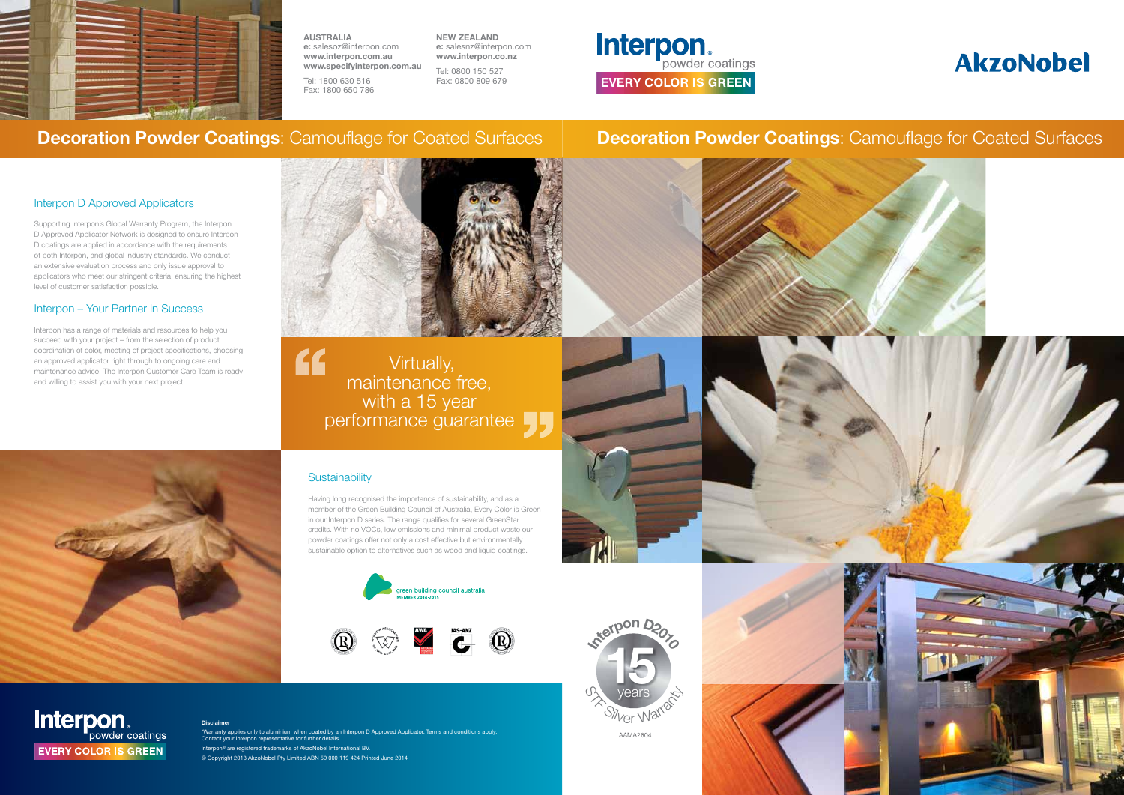

AAMA2604









Interpon **EVERY COLOR IS GREEN** 

## Interpon D Approved Applicators

Supporting Interpon's Global Warranty Program, the Interpon D Approved Applicator Network is designed to ensure Interpon D coatings are applied in accordance with the requirements of both Interpon, and global industry standards. We conduct an extensive evaluation process and only issue approval to applicators who meet our stringent criteria, ensuring the highest level of customer satisfaction possible.

## Interpon – Your Partner in Success

Interpon has a range of materials and resources to help you succeed with your project – from the selection of product coordination of color, meeting of project specifications, choosing an approved applicator right through to ongoing care and maintenance advice. The Interpon Customer Care Team is ready and willing to assist you with your next project.



" Virtually, maintenance free, with a 15 year performance guarantee

## **Sustainability**

Having long recognised the importance of sustainability, and as a member of the Green Building Council of Australia, Every Color is Green in our Interpon D series. The range qualifies for several GreenStar credits. With no VOCs, low emissions and minimal product waste our powder coatings offer not only a cost effective but environmentally sustainable option to alternatives such as wood and liquid coatings.







AUSTRALIA e: salesoz@interpon.com www.interpon.com.au www.specifyinterpon.com.au

Tel: 1800 630 516 Fax: 1800 650 786 NEW ZEALAND e: salesnz@interpon.com www.interpon.co.nz

Tel: 0800 150 527 Fax: 0800 809 679

# Interpon **EVERY COLOR IS GREEN**

## Decoration Powder Coatings: Camouflage for Coated Surfaces Decoration Powder Coatings: Camouflage for Coated Surfaces

### Disclaimer

\*Warranty applies only to aluminium when coated by an Interpon D Approved Applicator. Terms and conditions apply. Contact your Interpon representative for further details. Interpon<sup>®</sup> are registered trademarks of AkzoNobel International BV © Copyright 2013 AkzoNobel Pty Limited ABN 59 000 119 424 Printed June 2014

# **AkzoNobel**